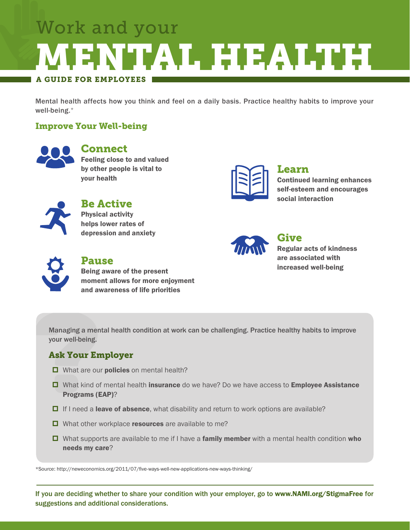## A GUIDE FOR EMPLOYEES Work and your MENTAL HEALTH

Mental health affects how you think and feel on a daily basis. Practice healthy habits to improve your well-being.\*

#### Improve Your Well-being



#### Connect

Feeling close to and valued by other people is vital to your health



### Be Active

Physical activity helps lower rates of depression and anxiety

#### Learn Continued learning enhances self-esteem and encourages

social interaction



#### Give Regular acts of kindness are associated with increased well-being

Pause Being aware of the present moment allows for more enjoyment and awareness of life priorities

Managing a mental health condition at work can be challenging. Practice healthy habits to improve your well-being.

### Ask Your Employer

- What are our **policies** on mental health?
- □ What kind of mental health insurance do we have? Do we have access to **Employee Assistance** Programs (EAP)?
- $\Box$  If I need a leave of absence, what disability and return to work options are available?
- $\Box$  What other workplace resources are available to me?
- □ What supports are available to me if I have a family member with a mental health condition who needs my care?

\*Source: http://neweconomics.org/2011/07/five-ways-well-new-applications-new-ways-thinking/

If you are deciding whether to share your condition with your employer, go to www.NAMI.org/StigmaFree for suggestions and additional considerations.